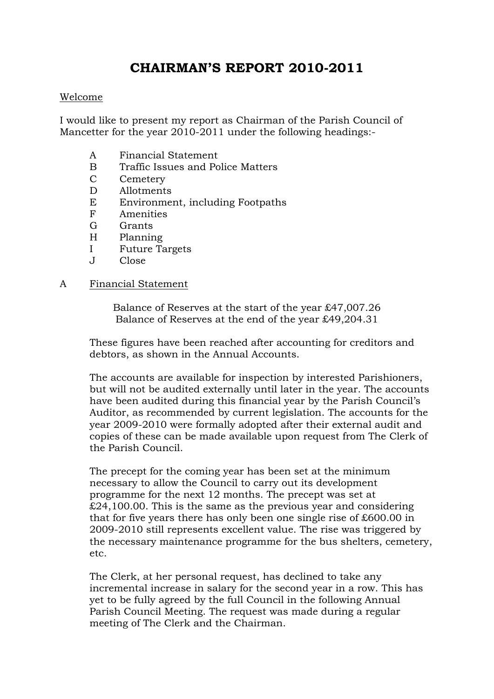# **CHAIRMAN'S REPORT 2010-2011**

#### Welcome

I would like to present my report as Chairman of the Parish Council of Mancetter for the year 2010-2011 under the following headings:-

- A Financial Statement
- B Traffic Issues and Police Matters
- C Cemetery
- D Allotments
- E Environment, including Footpaths
- F Amenities
- G Grants
- H Planning
- I Future Targets
- J Close

#### A Financial Statement

Balance of Reserves at the start of the year £47,007.26 Balance of Reserves at the end of the year £49,204.31

These figures have been reached after accounting for creditors and debtors, as shown in the Annual Accounts.

The accounts are available for inspection by interested Parishioners, but will not be audited externally until later in the year. The accounts have been audited during this financial year by the Parish Council's Auditor, as recommended by current legislation. The accounts for the year 2009-2010 were formally adopted after their external audit and copies of these can be made available upon request from The Clerk of the Parish Council.

The precept for the coming year has been set at the minimum necessary to allow the Council to carry out its development programme for the next 12 months. The precept was set at £24,100.00. This is the same as the previous year and considering that for five years there has only been one single rise of £600.00 in 2009-2010 still represents excellent value. The rise was triggered by the necessary maintenance programme for the bus shelters, cemetery, etc.

The Clerk, at her personal request, has declined to take any incremental increase in salary for the second year in a row. This has yet to be fully agreed by the full Council in the following Annual Parish Council Meeting. The request was made during a regular meeting of The Clerk and the Chairman.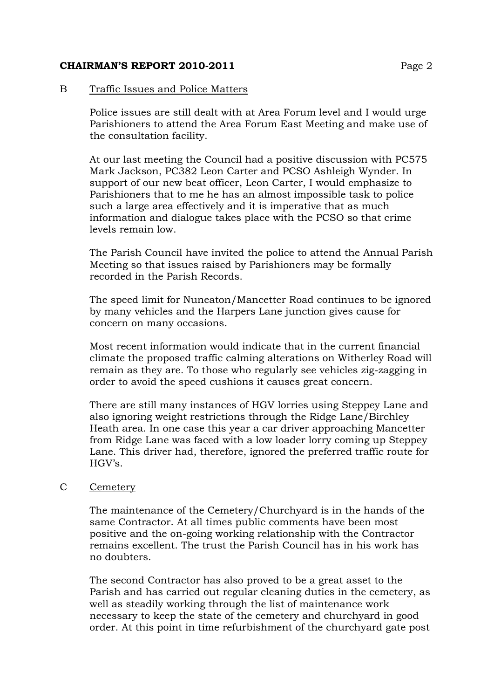#### B Traffic Issues and Police Matters

Police issues are still dealt with at Area Forum level and I would urge Parishioners to attend the Area Forum East Meeting and make use of the consultation facility.

At our last meeting the Council had a positive discussion with PC575 Mark Jackson, PC382 Leon Carter and PCSO Ashleigh Wynder. In support of our new beat officer, Leon Carter, I would emphasize to Parishioners that to me he has an almost impossible task to police such a large area effectively and it is imperative that as much information and dialogue takes place with the PCSO so that crime levels remain low.

The Parish Council have invited the police to attend the Annual Parish Meeting so that issues raised by Parishioners may be formally recorded in the Parish Records.

The speed limit for Nuneaton/Mancetter Road continues to be ignored by many vehicles and the Harpers Lane junction gives cause for concern on many occasions.

Most recent information would indicate that in the current financial climate the proposed traffic calming alterations on Witherley Road will remain as they are. To those who regularly see vehicles zig-zagging in order to avoid the speed cushions it causes great concern.

There are still many instances of HGV lorries using Steppey Lane and also ignoring weight restrictions through the Ridge Lane/Birchley Heath area. In one case this year a car driver approaching Mancetter from Ridge Lane was faced with a low loader lorry coming up Steppey Lane. This driver had, therefore, ignored the preferred traffic route for HGV's.

#### C Cemetery

The maintenance of the Cemetery/Churchyard is in the hands of the same Contractor. At all times public comments have been most positive and the on-going working relationship with the Contractor remains excellent. The trust the Parish Council has in his work has no doubters.

The second Contractor has also proved to be a great asset to the Parish and has carried out regular cleaning duties in the cemetery, as well as steadily working through the list of maintenance work necessary to keep the state of the cemetery and churchyard in good order. At this point in time refurbishment of the churchyard gate post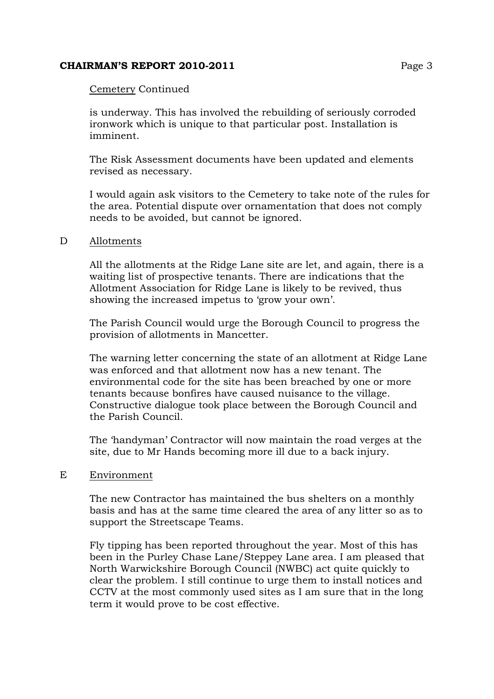#### Cemetery Continued

is underway. This has involved the rebuilding of seriously corroded ironwork which is unique to that particular post. Installation is imminent.

The Risk Assessment documents have been updated and elements revised as necessary.

I would again ask visitors to the Cemetery to take note of the rules for the area. Potential dispute over ornamentation that does not comply needs to be avoided, but cannot be ignored.

#### D Allotments

All the allotments at the Ridge Lane site are let, and again, there is a waiting list of prospective tenants. There are indications that the Allotment Association for Ridge Lane is likely to be revived, thus showing the increased impetus to 'grow your own'.

The Parish Council would urge the Borough Council to progress the provision of allotments in Mancetter.

The warning letter concerning the state of an allotment at Ridge Lane was enforced and that allotment now has a new tenant. The environmental code for the site has been breached by one or more tenants because bonfires have caused nuisance to the village. Constructive dialogue took place between the Borough Council and the Parish Council.

The 'handyman' Contractor will now maintain the road verges at the site, due to Mr Hands becoming more ill due to a back injury.

#### E Environment

The new Contractor has maintained the bus shelters on a monthly basis and has at the same time cleared the area of any litter so as to support the Streetscape Teams.

Fly tipping has been reported throughout the year. Most of this has been in the Purley Chase Lane/Steppey Lane area. I am pleased that North Warwickshire Borough Council (NWBC) act quite quickly to clear the problem. I still continue to urge them to install notices and CCTV at the most commonly used sites as I am sure that in the long term it would prove to be cost effective.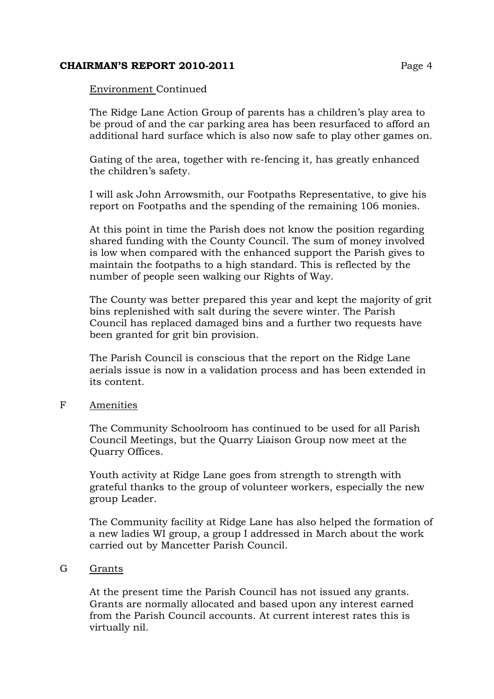#### Environment Continued

The Ridge Lane Action Group of parents has a children's play area to be proud of and the car parking area has been resurfaced to afford an additional hard surface which is also now safe to play other games on.

Gating of the area, together with re-fencing it, has greatly enhanced the children's safety.

I will ask John Arrowsmith, our Footpaths Representative, to give his report on Footpaths and the spending of the remaining 106 monies.

At this point in time the Parish does not know the position regarding shared funding with the County Council. The sum of money involved is low when compared with the enhanced support the Parish gives to maintain the footpaths to a high standard. This is reflected by the number of people seen walking our Rights of Way.

The County was better prepared this year and kept the majority of grit bins replenished with salt during the severe winter. The Parish Council has replaced damaged bins and a further two requests have been granted for grit bin provision.

The Parish Council is conscious that the report on the Ridge Lane aerials issue is now in a validation process and has been extended in its content.

#### F Amenities

The Community Schoolroom has continued to be used for all Parish Council Meetings, but the Quarry Liaison Group now meet at the Quarry Offices.

Youth activity at Ridge Lane goes from strength to strength with grateful thanks to the group of volunteer workers, especially the new group Leader.

The Community facility at Ridge Lane has also helped the formation of a new ladies WI group, a group I addressed in March about the work carried out by Mancetter Parish Council.

#### G Grants

At the present time the Parish Council has not issued any grants. Grants are normally allocated and based upon any interest earned from the Parish Council accounts. At current interest rates this is virtually nil.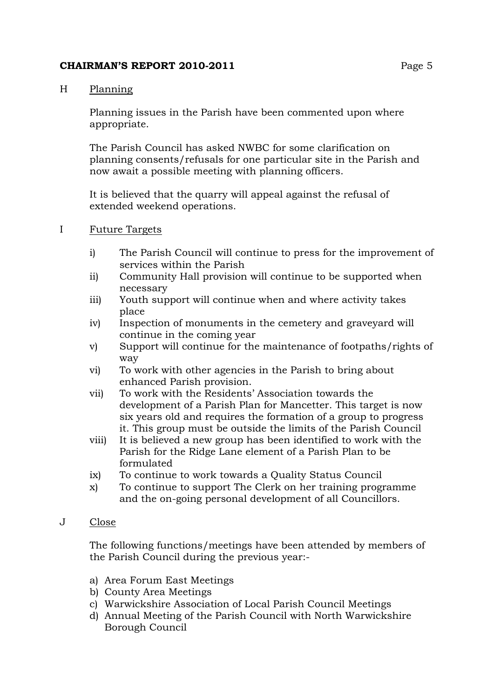# H Planning

Planning issues in the Parish have been commented upon where appropriate.

The Parish Council has asked NWBC for some clarification on planning consents/refusals for one particular site in the Parish and now await a possible meeting with planning officers.

It is believed that the quarry will appeal against the refusal of extended weekend operations.

# I Future Targets

- i) The Parish Council will continue to press for the improvement of services within the Parish
- ii) Community Hall provision will continue to be supported when necessary
- iii) Youth support will continue when and where activity takes place
- iv) Inspection of monuments in the cemetery and graveyard will continue in the coming year
- v) Support will continue for the maintenance of footpaths/rights of way
- vi) To work with other agencies in the Parish to bring about enhanced Parish provision.
- vii) To work with the Residents' Association towards the development of a Parish Plan for Mancetter. This target is now six years old and requires the formation of a group to progress it. This group must be outside the limits of the Parish Council
- viii) It is believed a new group has been identified to work with the Parish for the Ridge Lane element of a Parish Plan to be formulated
- ix) To continue to work towards a Quality Status Council
- x) To continue to support The Clerk on her training programme and the on-going personal development of all Councillors.

# J Close

The following functions/meetings have been attended by members of the Parish Council during the previous year:-

- a) Area Forum East Meetings
- b) County Area Meetings
- c) Warwickshire Association of Local Parish Council Meetings
- d) Annual Meeting of the Parish Council with North Warwickshire Borough Council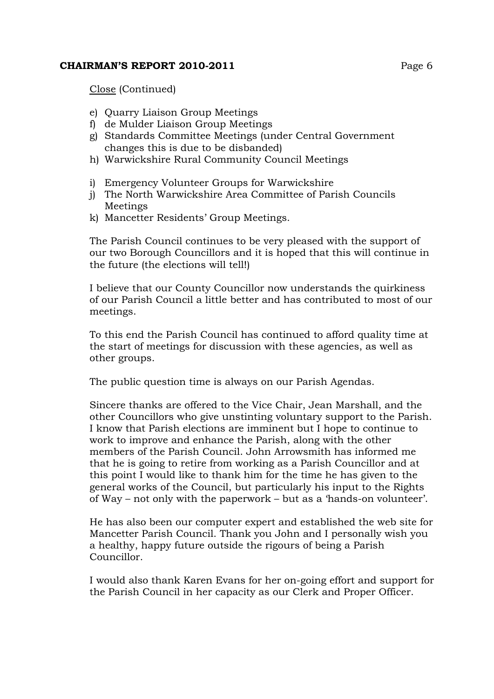Close (Continued)

- e) Quarry Liaison Group Meetings
- f) de Mulder Liaison Group Meetings
- g) Standards Committee Meetings (under Central Government changes this is due to be disbanded)
- h) Warwickshire Rural Community Council Meetings
- i) Emergency Volunteer Groups for Warwickshire
- j) The North Warwickshire Area Committee of Parish Councils Meetings
- k) Mancetter Residents' Group Meetings.

The Parish Council continues to be very pleased with the support of our two Borough Councillors and it is hoped that this will continue in the future (the elections will tell!)

I believe that our County Councillor now understands the quirkiness of our Parish Council a little better and has contributed to most of our meetings.

To this end the Parish Council has continued to afford quality time at the start of meetings for discussion with these agencies, as well as other groups.

The public question time is always on our Parish Agendas.

Sincere thanks are offered to the Vice Chair, Jean Marshall, and the other Councillors who give unstinting voluntary support to the Parish. I know that Parish elections are imminent but I hope to continue to work to improve and enhance the Parish, along with the other members of the Parish Council. John Arrowsmith has informed me that he is going to retire from working as a Parish Councillor and at this point I would like to thank him for the time he has given to the general works of the Council, but particularly his input to the Rights of Way – not only with the paperwork – but as a 'hands-on volunteer'.

He has also been our computer expert and established the web site for Mancetter Parish Council. Thank you John and I personally wish you a healthy, happy future outside the rigours of being a Parish Councillor.

I would also thank Karen Evans for her on-going effort and support for the Parish Council in her capacity as our Clerk and Proper Officer.